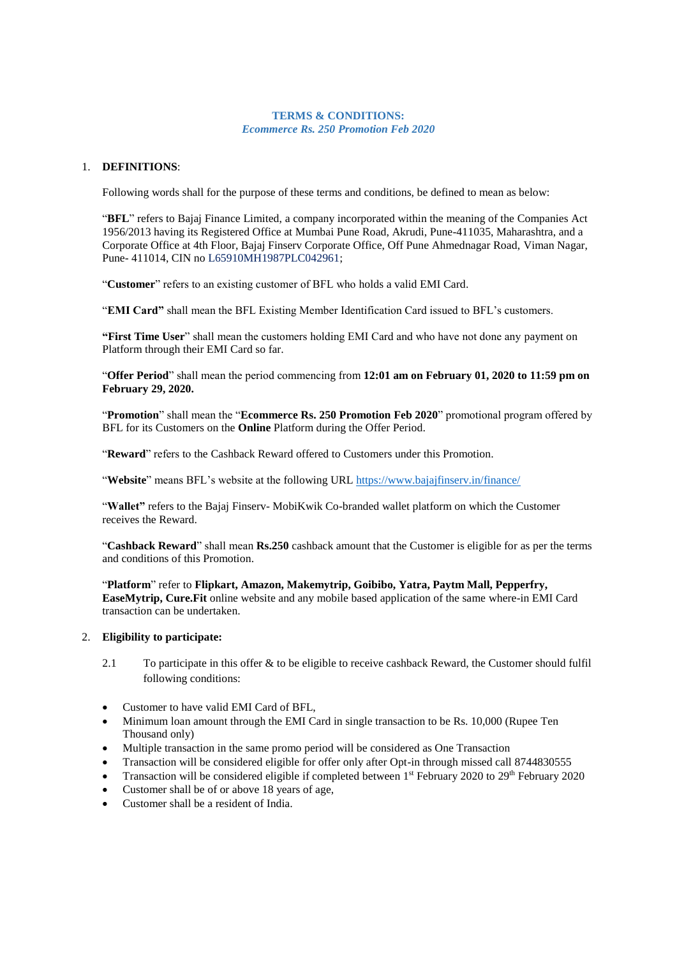#### **TERMS & CONDITIONS:** *Ecommerce Rs. 250 Promotion Feb 2020*

#### 1. **DEFINITIONS**:

Following words shall for the purpose of these terms and conditions, be defined to mean as below:

"**BFL**" refers to Bajaj Finance Limited, a company incorporated within the meaning of the Companies Act 1956/2013 having its Registered Office at Mumbai Pune Road, Akrudi, Pune-411035, Maharashtra, and a Corporate Office at 4th Floor, Bajaj Finserv Corporate Office, Off Pune Ahmednagar Road, Viman Nagar, Pune- 411014, CIN no L65910MH1987PLC042961;

"**Customer**" refers to an existing customer of BFL who holds a valid EMI Card.

"**EMI Card"** shall mean the BFL Existing Member Identification Card issued to BFL's customers.

**"First Time User**" shall mean the customers holding EMI Card and who have not done any payment on Platform through their EMI Card so far.

"**Offer Period**" shall mean the period commencing from **12:01 am on February 01, 2020 to 11:59 pm on February 29, 2020.**

"**Promotion**" shall mean the "**Ecommerce Rs. 250 Promotion Feb 2020**" promotional program offered by BFL for its Customers on the **Online** Platform during the Offer Period.

"**Reward**" refers to the Cashback Reward offered to Customers under this Promotion.

"**Website**" means BFL's website at the following URL<https://www.bajajfinserv.in/finance/>

"**Wallet"** refers to the Bajaj Finserv- MobiKwik Co-branded wallet platform on which the Customer receives the Reward.

"**Cashback Reward**" shall mean **Rs.250** cashback amount that the Customer is eligible for as per the terms and conditions of this Promotion.

"**Platform**" refer to **Flipkart, Amazon, Makemytrip, Goibibo, Yatra, Paytm Mall, Pepperfry, EaseMytrip, Cure.Fit** online website and any mobile based application of the same where-in EMI Card transaction can be undertaken.

#### 2. **Eligibility to participate:**

- 2.1 To participate in this offer & to be eligible to receive cashback Reward, the Customer should fulfil following conditions:
- Customer to have valid EMI Card of BFL.
- Minimum loan amount through the EMI Card in single transaction to be Rs. 10,000 (Rupee Ten Thousand only)
- Multiple transaction in the same promo period will be considered as One Transaction
- Transaction will be considered eligible for offer only after Opt-in through missed call 8744830555
- Transaction will be considered eligible if completed between 1<sup>st</sup> February 2020 to 29<sup>th</sup> February 2020
- Customer shall be of or above 18 years of age,
- Customer shall be a resident of India.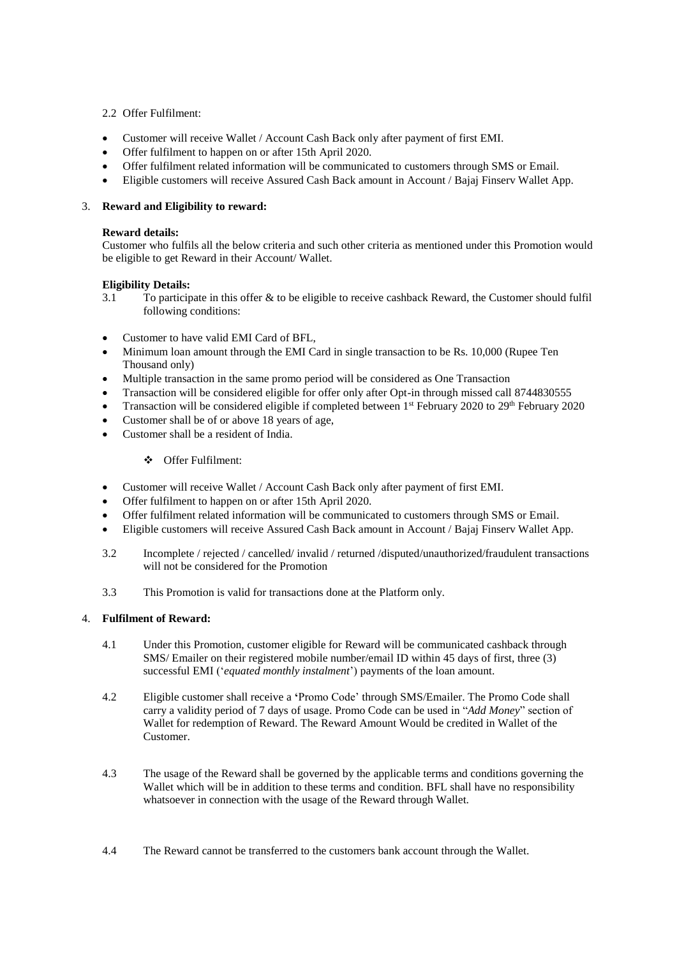# 2.2 Offer Fulfilment:

- Customer will receive Wallet / Account Cash Back only after payment of first EMI.
- Offer fulfilment to happen on or after 15th April 2020.
- Offer fulfilment related information will be communicated to customers through SMS or Email.
- Eligible customers will receive Assured Cash Back amount in Account / Bajaj Finserv Wallet App.

# 3. **Reward and Eligibility to reward:**

## **Reward details:**

Customer who fulfils all the below criteria and such other criteria as mentioned under this Promotion would be eligible to get Reward in their Account/ Wallet.

## **Eligibility Details:**

- 3.1 To participate in this offer & to be eligible to receive cashback Reward, the Customer should fulfil following conditions:
- Customer to have valid EMI Card of BFL,
- Minimum loan amount through the EMI Card in single transaction to be Rs. 10,000 (Rupee Ten Thousand only)
- Multiple transaction in the same promo period will be considered as One Transaction
- Transaction will be considered eligible for offer only after Opt-in through missed call 8744830555
- Transaction will be considered eligible if completed between 1<sup>st</sup> February 2020 to 29<sup>th</sup> February 2020
- Customer shall be of or above 18 years of age,
- Customer shall be a resident of India.

## ❖ Offer Fulfilment:

- Customer will receive Wallet / Account Cash Back only after payment of first EMI.
- Offer fulfilment to happen on or after 15th April 2020.
- Offer fulfilment related information will be communicated to customers through SMS or Email.
- Eligible customers will receive Assured Cash Back amount in Account / Bajaj Finserv Wallet App.
- 3.2 Incomplete / rejected / cancelled/ invalid / returned /disputed/unauthorized/fraudulent transactions will not be considered for the Promotion
- 3.3 This Promotion is valid for transactions done at the Platform only.

## 4. **Fulfilment of Reward:**

- 4.1 Under this Promotion, customer eligible for Reward will be communicated cashback through SMS/ Emailer on their registered mobile number/email ID within 45 days of first, three (3) successful EMI ('*equated monthly instalment*') payments of the loan amount.
- 4.2 Eligible customer shall receive a **'**Promo Code' through SMS/Emailer. The Promo Code shall carry a validity period of 7 days of usage. Promo Code can be used in "*Add Money*" section of Wallet for redemption of Reward. The Reward Amount Would be credited in Wallet of the Customer.
- 4.3 The usage of the Reward shall be governed by the applicable terms and conditions governing the Wallet which will be in addition to these terms and condition. BFL shall have no responsibility whatsoever in connection with the usage of the Reward through Wallet.
- 4.4 The Reward cannot be transferred to the customers bank account through the Wallet.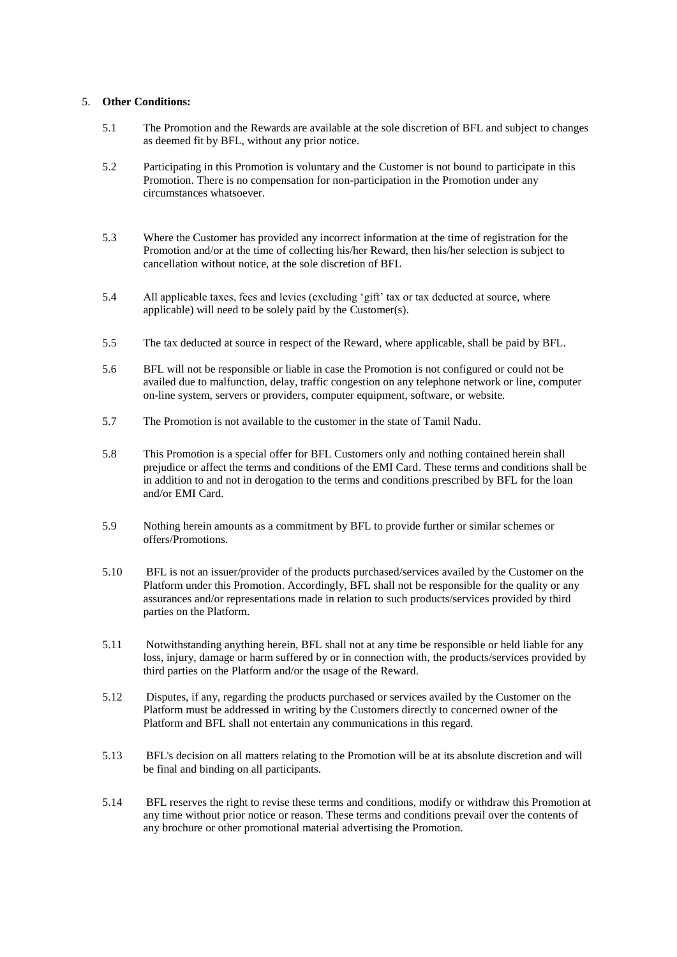# 5. **Other Conditions:**

- 5.1 The Promotion and the Rewards are available at the sole discretion of BFL and subject to changes as deemed fit by BFL, without any prior notice.
- 5.2 Participating in this Promotion is voluntary and the Customer is not bound to participate in this Promotion. There is no compensation for non-participation in the Promotion under any circumstances whatsoever.
- 5.3 Where the Customer has provided any incorrect information at the time of registration for the Promotion and/or at the time of collecting his/her Reward, then his/her selection is subject to cancellation without notice, at the sole discretion of BFL
- 5.4 All applicable taxes, fees and levies (excluding 'gift' tax or tax deducted at source, where applicable) will need to be solely paid by the Customer(s).
- 5.5 The tax deducted at source in respect of the Reward, where applicable, shall be paid by BFL.
- 5.6 BFL will not be responsible or liable in case the Promotion is not configured or could not be availed due to malfunction, delay, traffic congestion on any telephone network or line, computer on-line system, servers or providers, computer equipment, software, or website.
- 5.7 The Promotion is not available to the customer in the state of Tamil Nadu.
- 5.8 This Promotion is a special offer for BFL Customers only and nothing contained herein shall prejudice or affect the terms and conditions of the EMI Card. These terms and conditions shall be in addition to and not in derogation to the terms and conditions prescribed by BFL for the loan and/or EMI Card.
- 5.9 Nothing herein amounts as a commitment by BFL to provide further or similar schemes or offers/Promotions.
- 5.10 BFL is not an issuer/provider of the products purchased/services availed by the Customer on the Platform under this Promotion. Accordingly, BFL shall not be responsible for the quality or any assurances and/or representations made in relation to such products/services provided by third parties on the Platform.
- 5.11 Notwithstanding anything herein, BFL shall not at any time be responsible or held liable for any loss, injury, damage or harm suffered by or in connection with, the products/services provided by third parties on the Platform and/or the usage of the Reward.
- 5.12 Disputes, if any, regarding the products purchased or services availed by the Customer on the Platform must be addressed in writing by the Customers directly to concerned owner of the Platform and BFL shall not entertain any communications in this regard.
- 5.13 BFL's decision on all matters relating to the Promotion will be at its absolute discretion and will be final and binding on all participants.
- 5.14 BFL reserves the right to revise these terms and conditions, modify or withdraw this Promotion at any time without prior notice or reason. These terms and conditions prevail over the contents of any brochure or other promotional material advertising the Promotion.